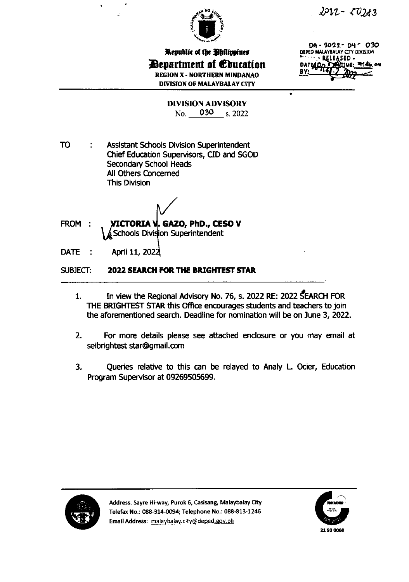



Republic of the Philippines **Department of Education REGION X - NORTHERN MINDANAO DIVISION OF MALAYBALAY CITY** 

 $DA - 2022 - DY - 030$ DEPED MALAYBALAY CITY DIVISION EASED. **DATE** 

٠

**DIVISION ADVISORY** No. 030 s. 2022

**TO Assistant Schools Division Superintendent** ÷ Chief Education Supervisors, CID and SGOD Secondary School Heads All Others Concerned **This Division** 

- FROM : VICTORIA V. GAZO, PhD., CESO V  $\&$  Schools Division Superintendent
- April 11, 2022 DATE:

SUBJECT: **2022 SEARCH FOR THE BRIGHTEST STAR** 

- In view the Regional Advisory No. 76, s. 2022 RE: 2022 SEARCH FOR 1. THE BRIGHTEST STAR this Office encourages students and teachers to join the aforementioned search. Deadline for nomination will be on June 3, 2022.
- $2.$ For more details please see attached enclosure or you may email at seibrightest star@gmail.com
- 3. Queries relative to this can be relayed to Analy L. Ocier, Education Program Supervisor at 09269505699.



Address: Sayre Hi-way, Purok 6, Casisang, Malaybalay City Telefax No.: 088-314-0094; Telephone No.: 088-813-1246 Email Address: malaybalay.city@deped.gov.ph

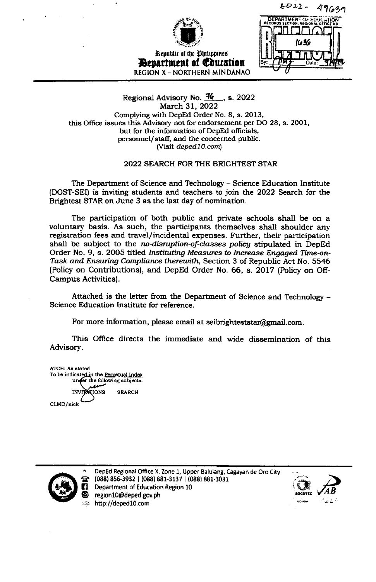

Republic of the Ohilippines **Devartment of Education REGION X - NORTHERN MINDANAO** 

 $2012 -$ 49639 **DEPARTMENT OF EDUC** K . K

### Regional Advisory No.  $\frac{7}{6}$ , s. 2022 March 31, 2022 Complying with DepEd Order No. 8, s. 2013, this Office issues this Advisory not for endorsement per DO 28, s. 2001, but for the information of DepEd officials, personnel/staff, and the concerned public. (Visit deped10.com)

## 2022 SEARCH FOR THE BRIGHTEST STAR

The Department of Science and Technology - Science Education Institute (DOST-SEI) is inviting students and teachers to join the 2022 Search for the Brightest STAR on June 3 as the last day of nomination.

The participation of both public and private schools shall be on a voluntary basis. As such, the participants themselves shall shoulder any registration fees and travel/incidental expenses. Further, their participation shall be subject to the no-disruption-of-classes policy stipulated in DepEd Order No. 9, s. 2005 titled Instituting Measures to Increase Engaged Time-on-Task and Ensuring Compliance therewith, Section 3 of Republic Act No. 5546 (Policy on Contributions), and DepEd Order No. 66, s. 2017 (Policy on Off-Campus Activities).

Attached is the letter from the Department of Science and Technology – Science Education Institute for reference.

For more information, please email at seibrighteststar@gmail.com.

This Office directs the immediate and wide dissemination of this Advisory.

ATCH: As stated To be indicated in the Perpetual Index under the following subjects: **SKOIT SEARCH** CLMD/nick



DepEd Regional Office X, Zone 1, Upper Balulang, Cagayan de Oro City (088) 856-3932 | (088) 881-3137 | (088) 881-3031 Department of Education Region 10 region10@deped.gov.ph http://deped10.com

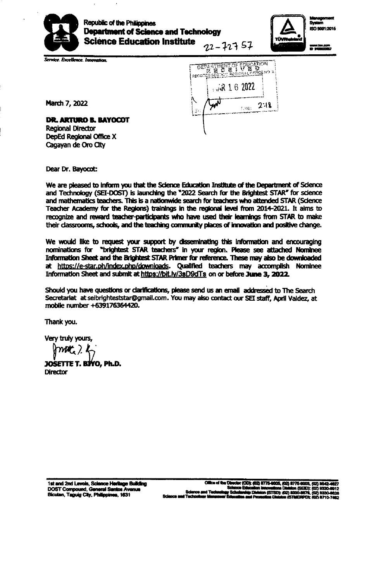

 $\mathbf{r}$ 

 $\ddot{\phantom{a}}$ 



Š., **ISO 9001-2015** 

ubay zaam

Service. Excellence. Innovation.

DEPATMENT OF EDUCATION First 16 2022  $2.18$ **TANE:** 

March 7, 2022

DR. ARTURO B. BAYOCOT **Regional Director** DepEd Regional Office X Cagayan de Oro City

Dear Dr. Bayocot:

We are pleased to inform you that the Science Education Institute of the Department of Science and Technology (SEI-DOST) is launching the "2022 Search for the Brightest STAR" for science and mathematics teachers. This is a nationwide search for teachers who attended STAR (Science Teacher Academy for the Regions) trainings in the regional level from 2014-2021. It aims to recognize and reward teacher-participants who have used their learnings from STAR to make their classrooms, schools, and the teaching community places of innovation and positive change.

We would like to request your support by disseminating this information and encouraging nominations for "brightest STAR teachers" in your region. Please see attached Nominee Information Sheet and the Brightest STAR Primer for reference. These may also be downloaded at https://e-star.ph/index.php/downloads. Qualified teachers may accomplish Nominee Information Sheet and submit at https://bit.ly/3sD9dTs on or before June 3, 2022.

Should you have questions or clarifications, please send us an email addressed to The Search Secretariat at seibrighteststar@gmail.com. You may also contact our SEI staff, April Valdez, at mobile number +639176364420.

Thank you.

Very truly yours,

 $m_{\mathcal{L}}$  ).

JOSETTE T. BIYO, Ph.D. **Director**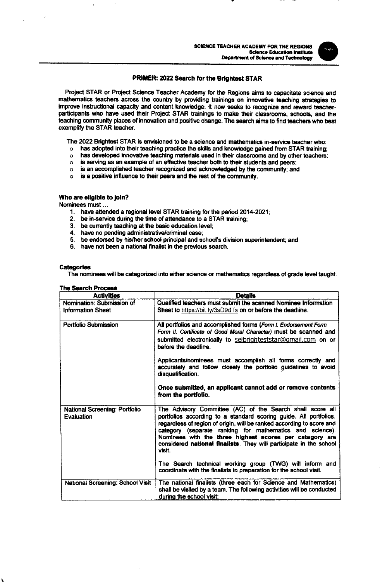#### PRIMER: 2022 Search for the Brightest STAR

Project STAR or Project Science Teacher Academy for the Regions aims to capacitate science and mathematics teachers across the country by providing trainings on innovative teaching strategies to improve instructional capacity and content knowledge. It now seeks to recognize and reward teacherparticipants who have used their Project STAR trainings to make their classrooms, schools, and the teaching community places of innovation and positive change. The search aims to find teachers who best exemplify the STAR teacher.

The 2022 Brightest STAR is envisioned to be a science and mathematics in-service teacher who:

- has adopted into their teaching practice the skills and knowledge gained from STAR training;  $\circ$
- has developed innovative teaching materials used in their classrooms and by other teachers;  $\circ$
- is serving as an example of an effective teacher both to their students and peers;  $\Omega$
- is an accomplished teacher recognized and acknowledged by the community; and  $\circ$
- o is a positive influence to their peers and the rest of the community.

#### Who are eligible to join?

Nominees must...

- 1. have attended a regional level STAR training for the period 2014-2021;
- 2. be in-service during the time of attendance to a STAR training;
- $\frac{3}{4}$ be currently teaching at the basic education level;
- have no pending administrative/criminal case;
- 5. be endorsed by his/her school principal and school's division superintendent; and
- 6. have not been a national finalist in the previous search.

#### Categories

The nominees will be categorized into either science or mathematics regardless of grade level taught.

| I IN JUGIUI FIULUOD<br><b>Activities</b>              | <b>Details</b>                                                                                                                                                                                                                                                                                                                                                                                                       |
|-------------------------------------------------------|----------------------------------------------------------------------------------------------------------------------------------------------------------------------------------------------------------------------------------------------------------------------------------------------------------------------------------------------------------------------------------------------------------------------|
| Nomination: Submission of<br><b>Information Sheet</b> | Qualified teachers must submit the scanned Nominee Information<br>Sheet to https://bit.ly/3sD9dTs on or before the deadline.                                                                                                                                                                                                                                                                                         |
| Portfolio Submission                                  | All portfolios and accomplished forms (Form I. Endorsement Form<br>Form II. Certificate of Good Moral Character) must be scanned and<br>submitted electronically to seibrighteststar@gmail.com on or<br>before the deadline.                                                                                                                                                                                         |
|                                                       | Applicants/nominees must accomplish all forms correctly and<br>accurately and follow closely the portfolio guidelines to avoid<br>disqualification.                                                                                                                                                                                                                                                                  |
|                                                       | Once submitted, an applicant cannot add or remove contents<br>from the portfolio.                                                                                                                                                                                                                                                                                                                                    |
| National Screening: Portfolio<br>Evaluation           | The Advisory Committee (AC) of the Search shall score all<br>portfolios according to a standard scoring guide. All portfolios,<br>regardless of region of origin, will be ranked according to score and<br>category (separate ranking for mathematics and science).<br>Nominees with the three highest scores per category are<br>considered national finalists. They will participate in the school<br><b>Visit</b> |
|                                                       | The Search technical working group (TWG) will inform and<br>coordinate with the finalists in preparation for the school visit.                                                                                                                                                                                                                                                                                       |
| National Screening: School Visit                      | The national finalists (three each for Science and Mathematics)<br>shall be visited by a team. The following activities will be conducted<br>during the school visit:                                                                                                                                                                                                                                                |

#### The Resert Depress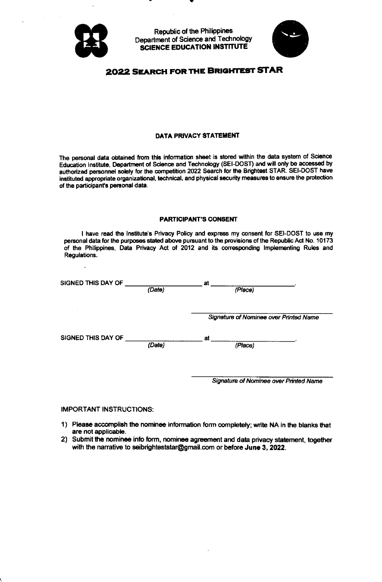

 $\ddot{\phantom{a}}$ 

**Republic of the Philippines** Department of Science and Technology **SCIENCE EDUCATION INSTITUTE** 



## 2022 SEARCH FOR THE BRIGHTEST STAR

#### DATA PRIVACY STATEMENT

The personal data obtained from this information sheet is stored within the data system of Science Education Institute, Department of Science and Technology (SEI-DOST) and will only be accessed by authorized personnel solely for the competition 2022 Search for the Brightest STAR. SEI-DOST have instituted appropriate organizational, technical, and physical security measures to ensure the protection of the participant's personal data.

#### **PARTICIPANT'S CONSENT**

I have read the Institute's Privacy Policy and express my consent for SEI-DOST to use my personal data for the purposes stated above pursuant to the provisions of the Republic Act No. 10173 of the Philippines, Data Privacy Act of 2012 and its corresponding Implementing Rules and Regulations.

| SIGNED THIS DAY OF |        | at                                            |  |  |
|--------------------|--------|-----------------------------------------------|--|--|
|                    | (Date) | (Place)                                       |  |  |
|                    |        |                                               |  |  |
|                    |        | <b>Signature of Nominee over Printed Name</b> |  |  |
| SIGNED THIS DAY OF |        | at                                            |  |  |
|                    | (Date) | (Place)                                       |  |  |
|                    |        |                                               |  |  |
|                    |        |                                               |  |  |
|                    |        | <b>Signature of Nominee over Printed Name</b> |  |  |

#### **IMPORTANT INSTRUCTIONS:**

- 1) Please accomplish the nominee information form completely; write NA in the blanks that are not applicable.
- 2) Submit the nominee info form, nominee agreement and data privacy statement, together with the narrative to seibrighteststar@gmail.com or before June 3, 2022.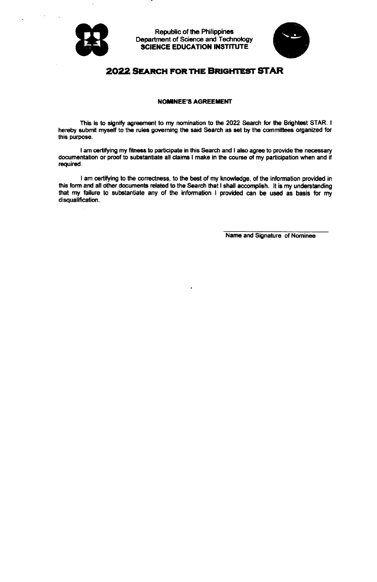



## **2022 SEARCH FOR THE BRIGHTEST STAR**

#### **NOMINEE'S AGREEMENT**

This is to signify agreement to my nomination to the 2022 Search for the Brightest STAR. I hereby submit myself to the rules governing the said Search as set by the committees organized for this purpose.

I am certifying my fitness to participate in this Search and I also agree to provide the necessary documentation or proof to substantiate all claims I make in the course of my participation when and if required.

I am certifying to the correctness, to the best of my knowledge, of the information provided in this form and all other documents related to the Search that I shall accomplish. It is my understanding that my failure to substantiate any of the information I provided can be used as basis for my disqualification.

Name and Signature of Nominee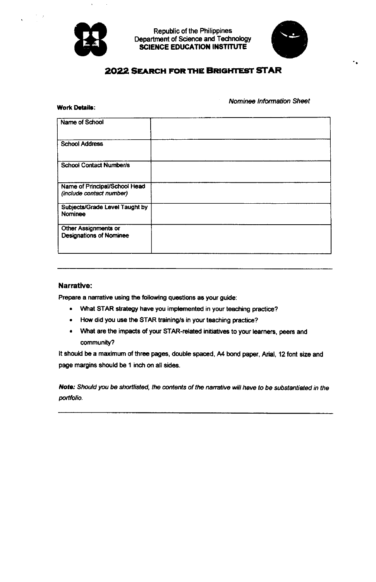

**Work Details:** 

**Republic of the Philippines** Department of Science and Technology **SCIENCE EDUCATION INSTITUTE** 



## **2022 SEARCH FOR THE BRIGHTEST STAR**

Nominee Information Sheet

| Name of School                                                |  |
|---------------------------------------------------------------|--|
| <b>School Address</b>                                         |  |
| <b>School Contact Number/s</b>                                |  |
| Name of Principal/School Head<br>(include contact number)     |  |
| Subjects/Grade Level Taught by<br>Nominee                     |  |
| <b>Other Assignments or</b><br><b>Designations of Nominee</b> |  |
|                                                               |  |

#### Narrative:

Prepare a narrative using the following questions as your guide:

- What STAR strategy have you implemented in your teaching practice?
- How did you use the STAR training/s in your teaching practice?
- . What are the impacts of your STAR-related initiatives to your learners, peers and community?

It should be a maximum of three pages, double spaced, A4 bond paper, Arial, 12 font size and page margins should be 1 inch on all sides.

Note: Should you be shortlisted, the contents of the narrative will have to be substantiated in the portfolio.